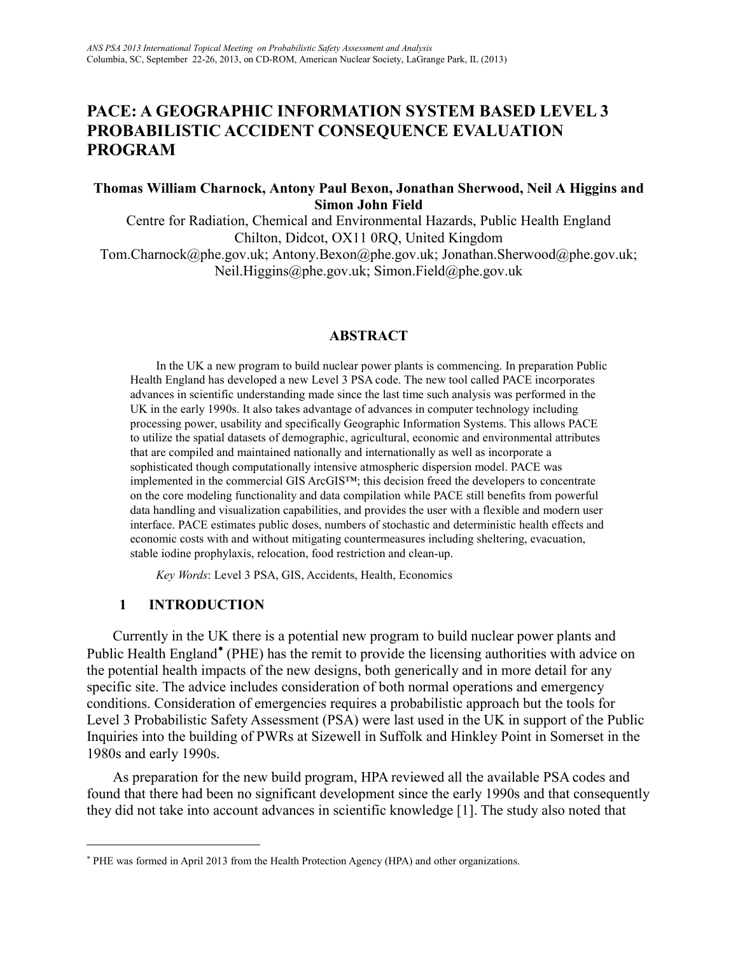# **PACE: A GEOGRAPHIC INFORMATION SYSTEM BASED LEVEL 3 PROBABILISTIC ACCIDENT CONSEQUENCE EVALUATION PROGRAM**

### **Thomas William Charnock, Antony Paul Bexon, Jonathan Sherwood, Neil A Higgins and Simon John Field**

Centre for Radiation, Chemical and Environmental Hazards, Public Health England Chilton, Didcot, OX11 0RQ, United Kingdom Tom.Charnock@phe.gov.uk; Antony.Bexon@phe.gov.uk; Jonathan.Sherwood@phe.gov.uk; Neil.Higgins@phe.gov.uk; Simon.Field@phe.gov.uk

#### **ABSTRACT**

In the UK a new program to build nuclear power plants is commencing. In preparation Public Health England has developed a new Level 3 PSA code. The new tool called PACE incorporates advances in scientific understanding made since the last time such analysis was performed in the UK in the early 1990s. It also takes advantage of advances in computer technology including processing power, usability and specifically Geographic Information Systems. This allows PACE to utilize the spatial datasets of demographic, agricultural, economic and environmental attributes that are compiled and maintained nationally and internationally as well as incorporate a sophisticated though computationally intensive atmospheric dispersion model. PACE was implemented in the commercial GIS ArcGIS™; this decision freed the developers to concentrate on the core modeling functionality and data compilation while PACE still benefits from powerful data handling and visualization capabilities, and provides the user with a flexible and modern user interface. PACE estimates public doses, numbers of stochastic and deterministic health effects and economic costs with and without mitigating countermeasures including sheltering, evacuation, stable iodine prophylaxis, relocation, food restriction and clean-up.

*Key Words*: Level 3 PSA, GIS, Accidents, Health, Economics

#### **1 INTRODUCTION**

 $\overline{a}$ 

Currently in the UK there is a potential new program to build nuclear power plants and Public Health England<sup>\*</sup> (PHE) has the remit to provide the licensing authorities with advice on the potential health impacts of the new designs, both generically and in more detail for any specific site. The advice includes consideration of both normal operations and emergency conditions. Consideration of emergencies requires a probabilistic approach but the tools for Level 3 Probabilistic Safety Assessment (PSA) were last used in the UK in support of the Public Inquiries into the building of PWRs at Sizewell in Suffolk and Hinkley Point in Somerset in the 1980s and early 1990s.

As preparation for the new build program, HPA reviewed all the available PSA codes and found that there had been no significant development since the early 1990s and that consequently they did not take into account advances in scientific knowledge [1]. The study also noted that

<span id="page-0-0"></span><sup>∗</sup> PHE was formed in April 2013 from the Health Protection Agency (HPA) and other organizations.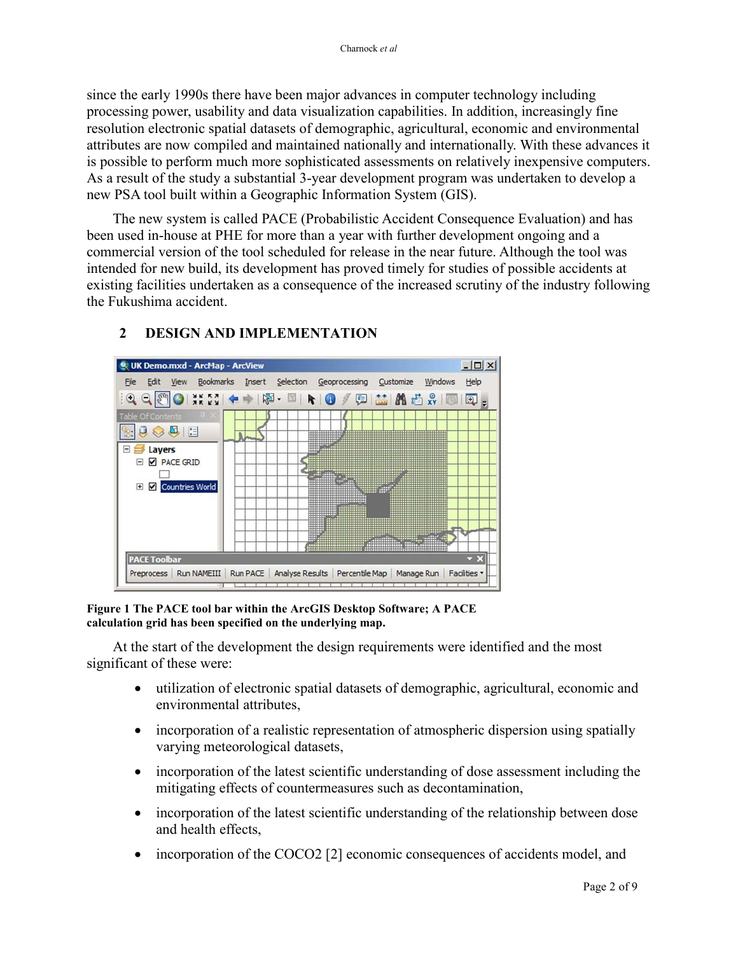since the early 1990s there have been major advances in computer technology including processing power, usability and data visualization capabilities. In addition, increasingly fine resolution electronic spatial datasets of demographic, agricultural, economic and environmental attributes are now compiled and maintained nationally and internationally. With these advances it is possible to perform much more sophisticated assessments on relatively inexpensive computers. As a result of the study a substantial 3-year development program was undertaken to develop a new PSA tool built within a Geographic Information System (GIS).

The new system is called PACE (Probabilistic Accident Consequence Evaluation) and has been used in-house at PHE for more than a year with further development ongoing and a commercial version of the tool scheduled for release in the near future. Although the tool was intended for new build, its development has proved timely for studies of possible accidents at existing facilities undertaken as a consequence of the increased scrutiny of the industry following the Fukushima accident.



## **2 DESIGN AND IMPLEMENTATION**

**Figure 1 The PACE tool bar within the ArcGIS Desktop Software; A PACE calculation grid has been specified on the underlying map.**

At the start of the development the design requirements were identified and the most significant of these were:

- utilization of electronic spatial datasets of demographic, agricultural, economic and environmental attributes,
- incorporation of a realistic representation of atmospheric dispersion using spatially varying meteorological datasets,
- incorporation of the latest scientific understanding of dose assessment including the mitigating effects of countermeasures such as decontamination,
- incorporation of the latest scientific understanding of the relationship between dose and health effects,
- incorporation of the COCO2 [2] economic consequences of accidents model, and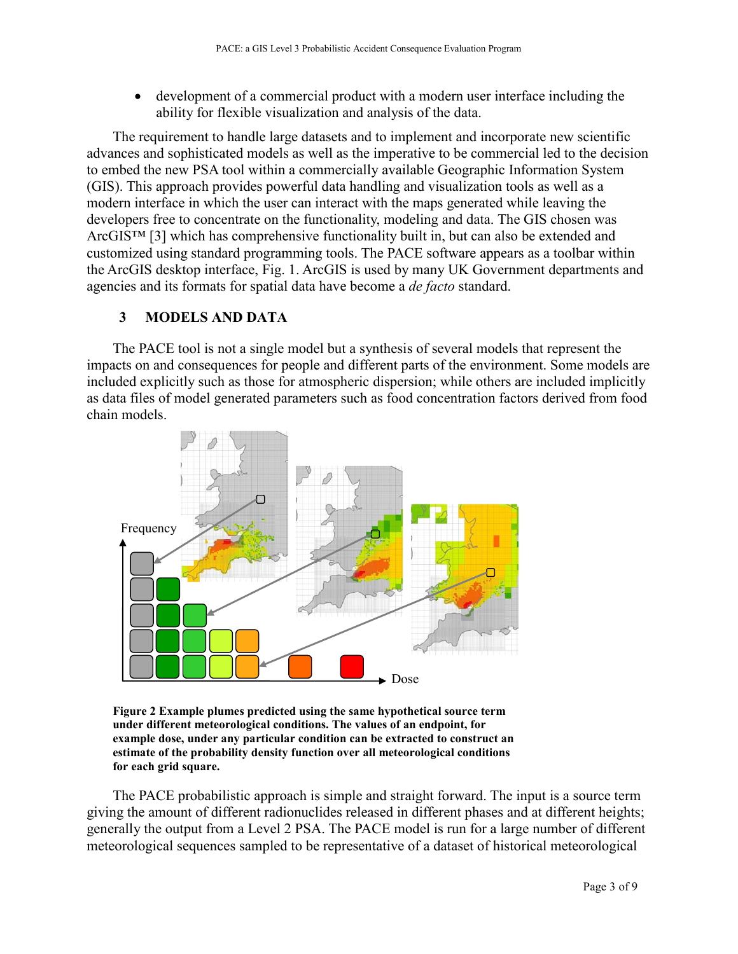• development of a commercial product with a modern user interface including the ability for flexible visualization and analysis of the data.

The requirement to handle large datasets and to implement and incorporate new scientific advances and sophisticated models as well as the imperative to be commercial led to the decision to embed the new PSA tool within a commercially available Geographic Information System (GIS). This approach provides powerful data handling and visualization tools as well as a modern interface in which the user can interact with the maps generated while leaving the developers free to concentrate on the functionality, modeling and data. The GIS chosen was ArcGIS™ [3] which has comprehensive functionality built in, but can also be extended and customized using standard programming tools. The PACE software appears as a toolbar within the ArcGIS desktop interface, Fig. 1. ArcGIS is used by many UK Government departments and agencies and its formats for spatial data have become a *de facto* standard.

### **3 MODELS AND DATA**

The PACE tool is not a single model but a synthesis of several models that represent the impacts on and consequences for people and different parts of the environment. Some models are included explicitly such as those for atmospheric dispersion; while others are included implicitly as data files of model generated parameters such as food concentration factors derived from food chain models.



**Figure 2 Example plumes predicted using the same hypothetical source term under different meteorological conditions. The values of an endpoint, for example dose, under any particular condition can be extracted to construct an estimate of the probability density function over all meteorological conditions for each grid square.** 

The PACE probabilistic approach is simple and straight forward. The input is a source term giving the amount of different radionuclides released in different phases and at different heights; generally the output from a Level 2 PSA. The PACE model is run for a large number of different meteorological sequences sampled to be representative of a dataset of historical meteorological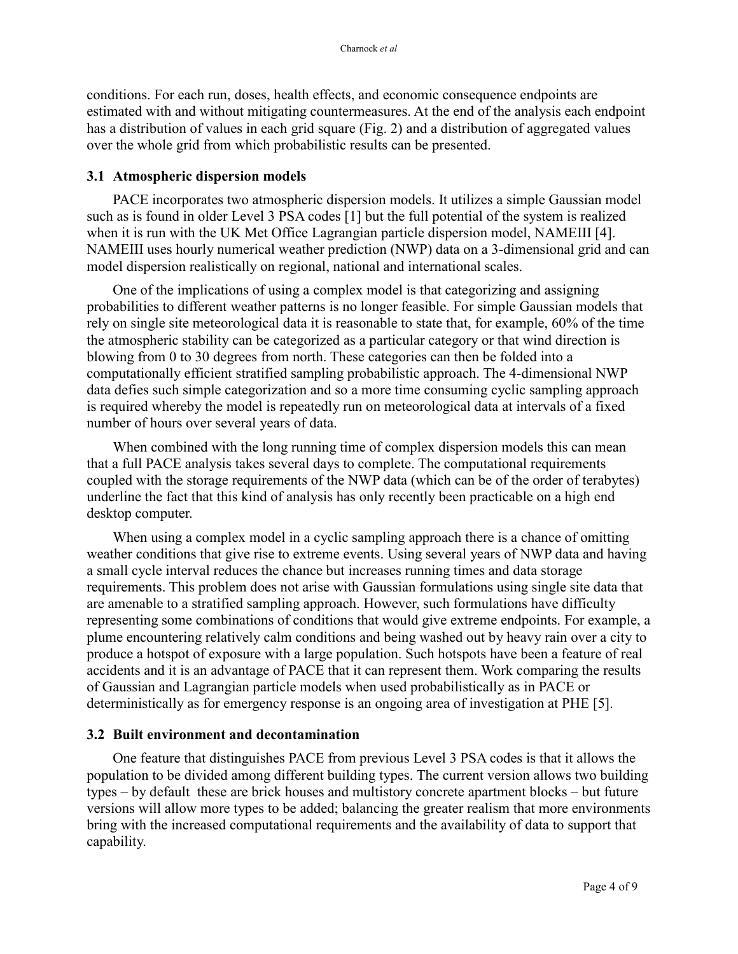conditions. For each run, doses, health effects, and economic consequence endpoints are estimated with and without mitigating countermeasures. At the end of the analysis each endpoint has a distribution of values in each grid square (Fig. 2) and a distribution of aggregated values over the whole grid from which probabilistic results can be presented.

#### **3.1 Atmospheric dispersion models**

PACE incorporates two atmospheric dispersion models. It utilizes a simple Gaussian model such as is found in older Level 3 PSA codes [1] but the full potential of the system is realized when it is run with the UK Met Office Lagrangian particle dispersion model, NAMEIII [4]. NAMEIII uses hourly numerical weather prediction (NWP) data on a 3-dimensional grid and can model dispersion realistically on regional, national and international scales.

One of the implications of using a complex model is that categorizing and assigning probabilities to different weather patterns is no longer feasible. For simple Gaussian models that rely on single site meteorological data it is reasonable to state that, for example, 60% of the time the atmospheric stability can be categorized as a particular category or that wind direction is blowing from 0 to 30 degrees from north. These categories can then be folded into a computationally efficient stratified sampling probabilistic approach. The 4-dimensional NWP data defies such simple categorization and so a more time consuming cyclic sampling approach is required whereby the model is repeatedly run on meteorological data at intervals of a fixed number of hours over several years of data.

When combined with the long running time of complex dispersion models this can mean that a full PACE analysis takes several days to complete. The computational requirements coupled with the storage requirements of the NWP data (which can be of the order of terabytes) underline the fact that this kind of analysis has only recently been practicable on a high end desktop computer.

When using a complex model in a cyclic sampling approach there is a chance of omitting weather conditions that give rise to extreme events. Using several years of NWP data and having a small cycle interval reduces the chance but increases running times and data storage requirements. This problem does not arise with Gaussian formulations using single site data that are amenable to a stratified sampling approach. However, such formulations have difficulty representing some combinations of conditions that would give extreme endpoints. For example, a plume encountering relatively calm conditions and being washed out by heavy rain over a city to produce a hotspot of exposure with a large population. Such hotspots have been a feature of real accidents and it is an advantage of PACE that it can represent them. Work comparing the results of Gaussian and Lagrangian particle models when used probabilistically as in PACE or deterministically as for emergency response is an ongoing area of investigation at PHE [5].

#### **3.2 Built environment and decontamination**

One feature that distinguishes PACE from previous Level 3 PSA codes is that it allows the population to be divided among different building types. The current version allows two building types – by default these are brick houses and multistory concrete apartment blocks – but future versions will allow more types to be added; balancing the greater realism that more environments bring with the increased computational requirements and the availability of data to support that capability.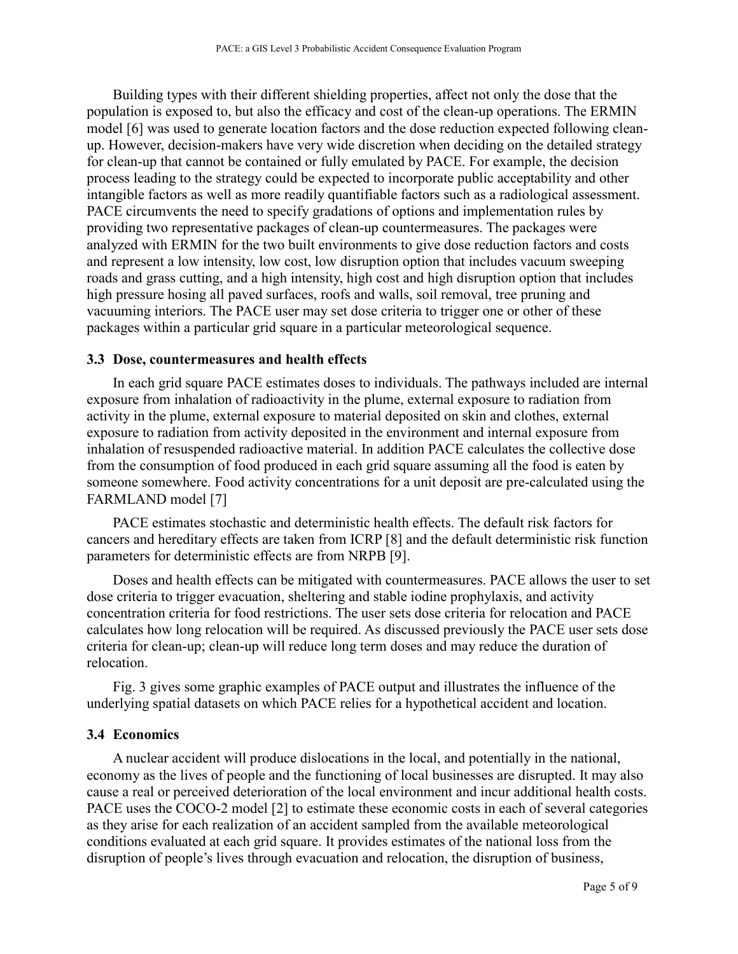Building types with their different shielding properties, affect not only the dose that the population is exposed to, but also the efficacy and cost of the clean-up operations. The ERMIN model [6] was used to generate location factors and the dose reduction expected following cleanup. However, decision-makers have very wide discretion when deciding on the detailed strategy for clean-up that cannot be contained or fully emulated by PACE. For example, the decision process leading to the strategy could be expected to incorporate public acceptability and other intangible factors as well as more readily quantifiable factors such as a radiological assessment. PACE circumvents the need to specify gradations of options and implementation rules by providing two representative packages of clean-up countermeasures. The packages were analyzed with ERMIN for the two built environments to give dose reduction factors and costs and represent a low intensity, low cost, low disruption option that includes vacuum sweeping roads and grass cutting, and a high intensity, high cost and high disruption option that includes high pressure hosing all paved surfaces, roofs and walls, soil removal, tree pruning and vacuuming interiors. The PACE user may set dose criteria to trigger one or other of these packages within a particular grid square in a particular meteorological sequence.

#### **3.3 Dose, countermeasures and health effects**

In each grid square PACE estimates doses to individuals. The pathways included are internal exposure from inhalation of radioactivity in the plume, external exposure to radiation from activity in the plume, external exposure to material deposited on skin and clothes, external exposure to radiation from activity deposited in the environment and internal exposure from inhalation of resuspended radioactive material. In addition PACE calculates the collective dose from the consumption of food produced in each grid square assuming all the food is eaten by someone somewhere. Food activity concentrations for a unit deposit are pre-calculated using the FARMLAND model [7]

PACE estimates stochastic and deterministic health effects. The default risk factors for cancers and hereditary effects are taken from ICRP [8] and the default deterministic risk function parameters for deterministic effects are from NRPB [9].

Doses and health effects can be mitigated with countermeasures. PACE allows the user to set dose criteria to trigger evacuation, sheltering and stable iodine prophylaxis, and activity concentration criteria for food restrictions. The user sets dose criteria for relocation and PACE calculates how long relocation will be required. As discussed previously the PACE user sets dose criteria for clean-up; clean-up will reduce long term doses and may reduce the duration of relocation.

Fig. 3 gives some graphic examples of PACE output and illustrates the influence of the underlying spatial datasets on which PACE relies for a hypothetical accident and location.

#### **3.4 Economics**

A nuclear accident will produce dislocations in the local, and potentially in the national, economy as the lives of people and the functioning of local businesses are disrupted. It may also cause a real or perceived deterioration of the local environment and incur additional health costs. PACE uses the COCO-2 model [2] to estimate these economic costs in each of several categories as they arise for each realization of an accident sampled from the available meteorological conditions evaluated at each grid square. It provides estimates of the national loss from the disruption of people's lives through evacuation and relocation, the disruption of business,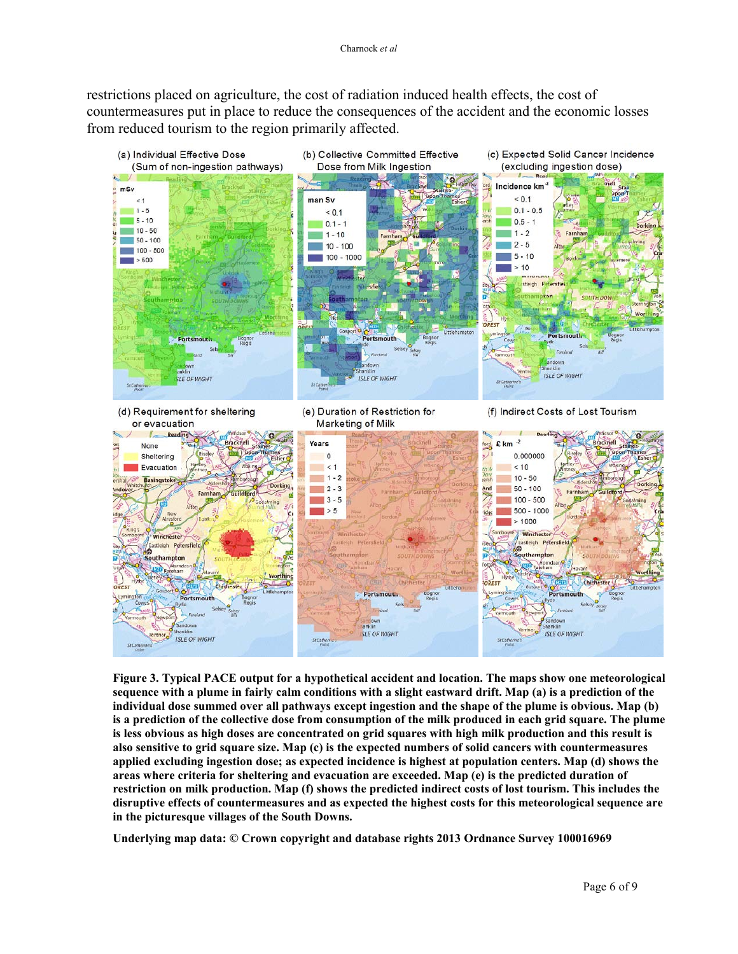restrictions placed on agriculture, the cost of radiation induced health effects, the cost of countermeasures put in place to reduce the consequences of the accident and the economic losses from reduced tourism to the region primarily affected.



**Figure 3. Typical PACE output for a hypothetical accident and location. The maps show one meteorological sequence with a plume in fairly calm conditions with a slight eastward drift. Map (a) is a prediction of the individual dose summed over all pathways except ingestion and the shape of the plume is obvious. Map (b) is a prediction of the collective dose from consumption of the milk produced in each grid square. The plume is less obvious as high doses are concentrated on grid squares with high milk production and this result is also sensitive to grid square size. Map (c) is the expected numbers of solid cancers with countermeasures applied excluding ingestion dose; as expected incidence is highest at population centers. Map (d) shows the areas where criteria for sheltering and evacuation are exceeded. Map (e) is the predicted duration of restriction on milk production. Map (f) shows the predicted indirect costs of lost tourism. This includes the disruptive effects of countermeasures and as expected the highest costs for this meteorological sequence are in the picturesque villages of the South Downs.**

**Underlying map data: © Crown copyright and database rights 2013 Ordnance Survey 100016969**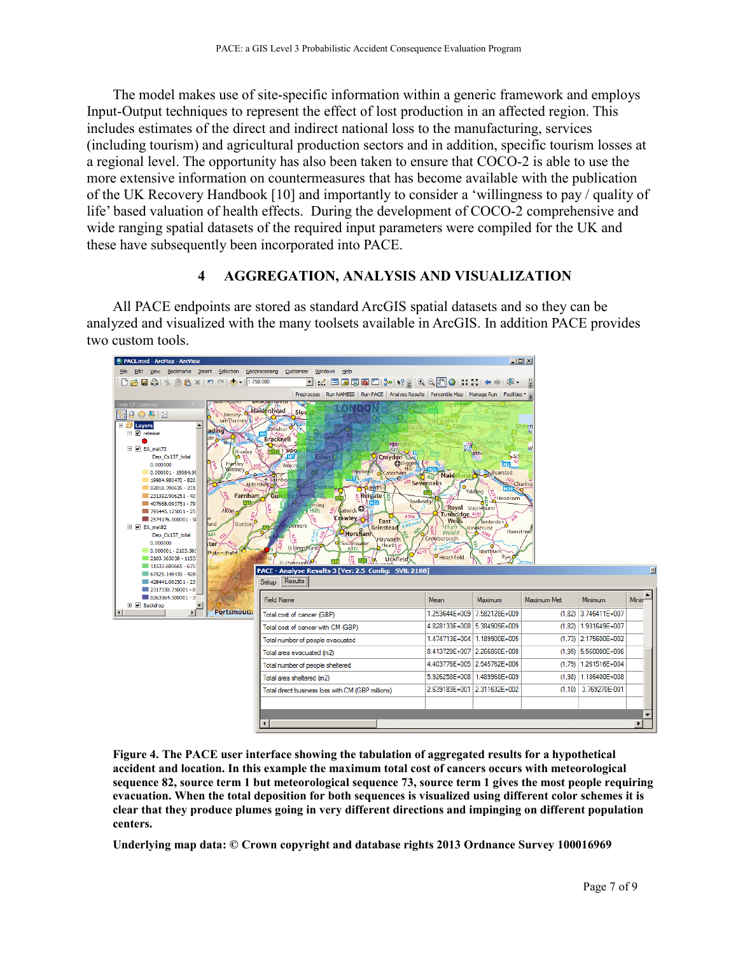The model makes use of site-specific information within a generic framework and employs Input-Output techniques to represent the effect of lost production in an affected region. This includes estimates of the direct and indirect national loss to the manufacturing, services (including tourism) and agricultural production sectors and in addition, specific tourism losses at a regional level. The opportunity has also been taken to ensure that COCO-2 is able to use the more extensive information on countermeasures that has become available with the publication of the UK Recovery Handbook [10] and importantly to consider a 'willingness to pay / quality of life' based valuation of health effects. During the development of COCO-2 comprehensive and wide ranging spatial datasets of the required input parameters were compiled for the UK and these have subsequently been incorporated into PACE.

#### **4 AGGREGATION, ANALYSIS AND VISUALIZATION**

All PACE endpoints are stored as standard ArcGIS spatial datasets and so they can be analyzed and visualized with the many toolsets available in ArcGIS. In addition PACE provides two custom tools.



**Figure 4. The PACE user interface showing the tabulation of aggregated results for a hypothetical accident and location. In this example the maximum total cost of cancers occurs with meteorological sequence 82, source term 1 but meteorological sequence 73, source term 1 gives the most people requiring evacuation. When the total deposition for both sequences is visualized using different color schemes it is clear that they produce plumes going in very different directions and impinging on different population centers.** 

**Underlying map data: © Crown copyright and database rights 2013 Ordnance Survey 100016969**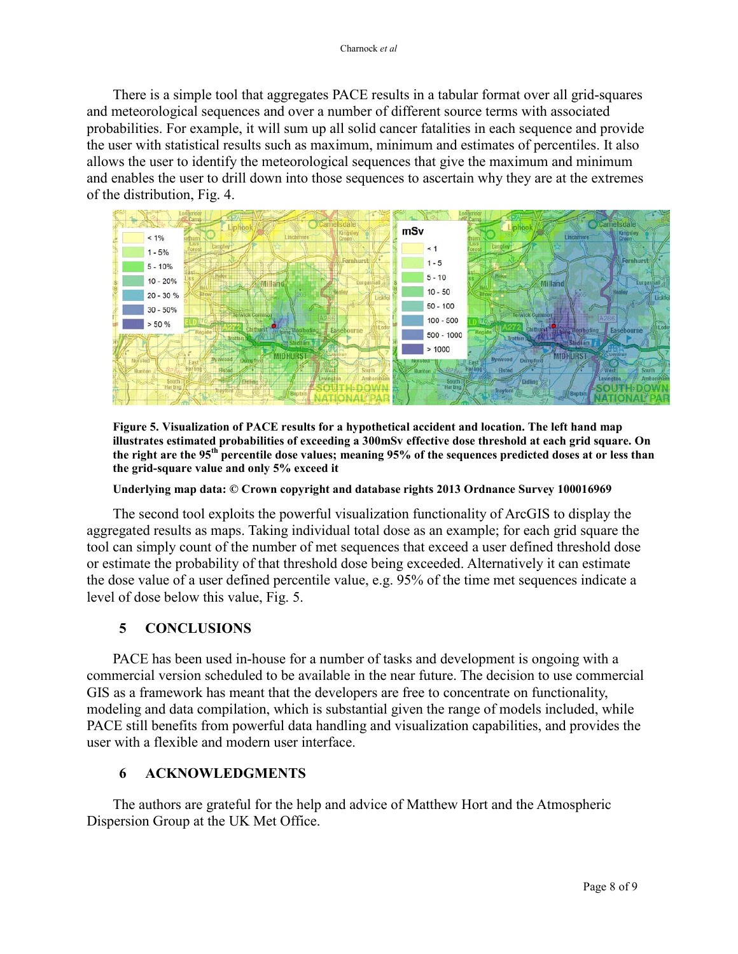There is a simple tool that aggregates PACE results in a tabular format over all grid-squares and meteorological sequences and over a number of different source terms with associated probabilities. For example, it will sum up all solid cancer fatalities in each sequence and provide the user with statistical results such as maximum, minimum and estimates of percentiles. It also allows the user to identify the meteorological sequences that give the maximum and minimum and enables the user to drill down into those sequences to ascertain why they are at the extremes of the distribution, Fig. 4.



**Figure 5. Visualization of PACE results for a hypothetical accident and location. The left hand map illustrates estimated probabilities of exceeding a 300mSv effective dose threshold at each grid square. On the right are the 95th percentile dose values; meaning 95% of the sequences predicted doses at or less than the grid-square value and only 5% exceed it**

**Underlying map data: © Crown copyright and database rights 2013 Ordnance Survey 100016969**

The second tool exploits the powerful visualization functionality of ArcGIS to display the aggregated results as maps. Taking individual total dose as an example; for each grid square the tool can simply count of the number of met sequences that exceed a user defined threshold dose or estimate the probability of that threshold dose being exceeded. Alternatively it can estimate the dose value of a user defined percentile value, e.g. 95% of the time met sequences indicate a level of dose below this value, Fig. 5.

## **5 CONCLUSIONS**

PACE has been used in-house for a number of tasks and development is ongoing with a commercial version scheduled to be available in the near future. The decision to use commercial GIS as a framework has meant that the developers are free to concentrate on functionality, modeling and data compilation, which is substantial given the range of models included, while PACE still benefits from powerful data handling and visualization capabilities, and provides the user with a flexible and modern user interface.

### **6 ACKNOWLEDGMENTS**

The authors are grateful for the help and advice of Matthew Hort and the Atmospheric Dispersion Group at the UK Met Office.